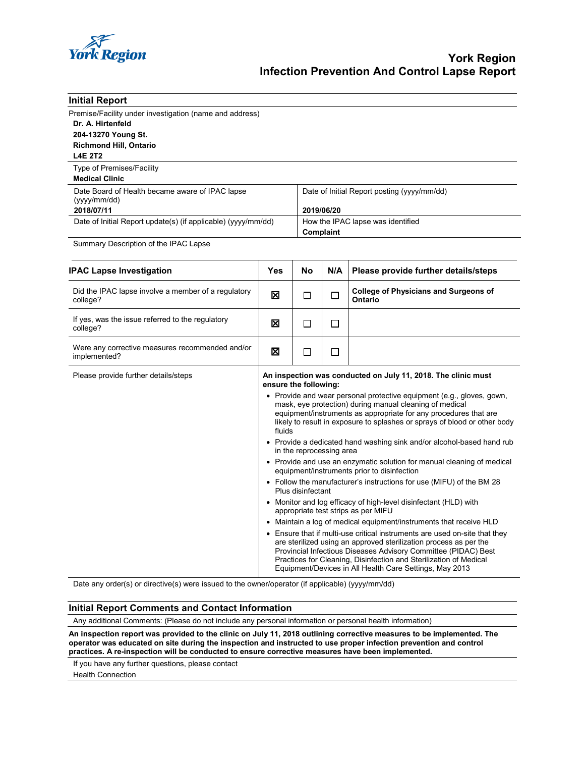

| <b>Initial Report</b>                                                        |                                                                                                                                                                                                                                                                                             |           |                                                |                                                         |  |
|------------------------------------------------------------------------------|---------------------------------------------------------------------------------------------------------------------------------------------------------------------------------------------------------------------------------------------------------------------------------------------|-----------|------------------------------------------------|---------------------------------------------------------|--|
| Premise/Facility under investigation (name and address)<br>Dr. A. Hirtenfeld |                                                                                                                                                                                                                                                                                             |           |                                                |                                                         |  |
| 204-13270 Young St.                                                          |                                                                                                                                                                                                                                                                                             |           |                                                |                                                         |  |
| <b>Richmond Hill, Ontario</b><br><b>L4E 2T2</b>                              |                                                                                                                                                                                                                                                                                             |           |                                                |                                                         |  |
|                                                                              |                                                                                                                                                                                                                                                                                             |           |                                                |                                                         |  |
| Type of Premises/Facility<br><b>Medical Clinic</b>                           |                                                                                                                                                                                                                                                                                             |           |                                                |                                                         |  |
| Date Board of Health became aware of IPAC lapse<br>(yyyy/mm/dd)              |                                                                                                                                                                                                                                                                                             |           | Date of Initial Report posting (yyyy/mm/dd)    |                                                         |  |
| 2018/07/11                                                                   |                                                                                                                                                                                                                                                                                             |           | 2019/06/20                                     |                                                         |  |
| Date of Initial Report update(s) (if applicable) (yyyy/mm/dd)                |                                                                                                                                                                                                                                                                                             |           | How the IPAC lapse was identified<br>Complaint |                                                         |  |
| Summary Description of the IPAC Lapse                                        |                                                                                                                                                                                                                                                                                             |           |                                                |                                                         |  |
| <b>IPAC Lapse Investigation</b>                                              | <b>Yes</b>                                                                                                                                                                                                                                                                                  | <b>No</b> | N/A                                            | Please provide further details/steps                    |  |
| Did the IPAC lapse involve a member of a regulatory<br>college?              | ⊠                                                                                                                                                                                                                                                                                           | П         | □                                              | <b>College of Physicians and Surgeons of</b><br>Ontario |  |
| If yes, was the issue referred to the regulatory<br>college?                 | ⊠                                                                                                                                                                                                                                                                                           | П         | П                                              |                                                         |  |
| Were any corrective measures recommended and/or<br>implemented?              | 図                                                                                                                                                                                                                                                                                           | □         | П                                              |                                                         |  |
| Please provide further details/steps                                         | An inspection was conducted on July 11, 2018. The clinic must<br>ensure the following:                                                                                                                                                                                                      |           |                                                |                                                         |  |
|                                                                              | • Provide and wear personal protective equipment (e.g., gloves, gown,<br>mask, eye protection) during manual cleaning of medical<br>equipment/instruments as appropriate for any procedures that are<br>likely to result in exposure to splashes or sprays of blood or other body<br>fluids |           |                                                |                                                         |  |
|                                                                              | • Provide a dedicated hand washing sink and/or alcohol-based hand rub<br>in the reprocessing area                                                                                                                                                                                           |           |                                                |                                                         |  |
|                                                                              | • Provide and use an enzymatic solution for manual cleaning of medical<br>equipment/instruments prior to disinfection                                                                                                                                                                       |           |                                                |                                                         |  |
|                                                                              | • Follow the manufacturer's instructions for use (MIFU) of the BM 28                                                                                                                                                                                                                        |           |                                                |                                                         |  |

Date any order(s) or directive(s) were issued to the owner/operator (if applicable) (yyyy/mm/dd)

### **Initial Report Comments and Contact Information**

Any additional Comments: (Please do not include any personal information or personal health information)

**An inspection report was provided to the clinic on July 11, 2018 outlining corrective measures to be implemented. The operator was educated on site during the inspection and instructed to use proper infection prevention and control practices. A re-inspection will be conducted to ensure corrective measures have been implemented.**

Plus disinfectant

appropriate test strips as per MIFU

• Monitor and log efficacy of high-level disinfectant (HLD) with

• Maintain a log of medical equipment/instruments that receive HLD • Ensure that if multi-use critical instruments are used on-site that they are sterilized using an approved sterilization process as per the Provincial Infectious Diseases Advisory Committee (PIDAC) Best Practices for Cleaning, Disinfection and Sterilization of Medical Equipment/Devices in All Health Care Settings, May 2013

If you have any further questions, please contact

Health Connection